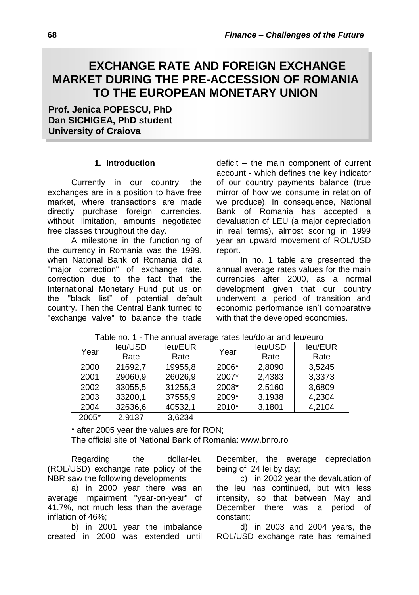# **EXCHANGE RATE AND FOREIGN EXCHANGE MARKET DURING THE PRE-ACCESSION OF ROMANIA TO THE EUROPEAN MONETARY UNION**

**Prof. Jenica POPESCU, PhD Dan SICHIGEA, PhD student University of Craiova**

### **1. Introduction**

Currently in our country, the exchanges are in a position to have free market, where transactions are made directly purchase foreign currencies, without limitation, amounts negotiated free classes throughout the day.

A milestone in the functioning of the currency in Romania was the 1999, when National Bank of Romania did a "major correction" of exchange rate, correction due to the fact that the International Monetary Fund put us on the "black list" of potential default country. Then the Central Bank turned to "exchange valve" to balance the trade deficit – the main component of current account - which defines the key indicator of our country payments balance (true mirror of how we consume in relation of we produce). In consequence, National Bank of Romania has accepted a devaluation of LEU (a major depreciation in real terms), almost scoring in 1999 year an upward movement of ROL/USD report.

In no. 1 table are presented the annual average rates values for the main currencies after 2000, as a normal development given that our country underwent a period of transition and economic performance isn't comparative with that the developed economies.

| Year  | leu/USD | leu/EUR | Year  | leu/USD | leu/EUR |
|-------|---------|---------|-------|---------|---------|
|       | Rate    | Rate    |       | Rate    | Rate    |
| 2000  | 21692,7 | 19955,8 | 2006* | 2,8090  | 3,5245  |
| 2001  | 29060,9 | 26026,9 | 2007* | 2,4383  | 3,3373  |
| 2002  | 33055,5 | 31255,3 | 2008* | 2,5160  | 3,6809  |
| 2003  | 33200,1 | 37555,9 | 2009* | 3,1938  | 4,2304  |
| 2004  | 32636,6 | 40532,1 | 2010* | 3,1801  | 4,2104  |
| 2005* | 2,9137  | 3,6234  |       |         |         |

Table no. 1 - The annual average rates leu/dolar and leu/euro

\* after 2005 year the values are for RON;

The official site of National Bank of Romania: [www.bnro.ro](http://www.bnro.ro/)

Regarding the dollar-leu (ROL/USD) exchange rate policy of the NBR saw the following developments:

a) in 2000 year there was an average impairment "year-on-year" of 41.7%, not much less than the average inflation of 46%;

b) in 2001 year the imbalance created in 2000 was extended until December, the average depreciation being of 24 lei by day;

c) in 2002 year the devaluation of the leu has continued, but with less intensity, so that between May and December there was a period of constant;

d) in 2003 and 2004 years, the ROL/USD exchange rate has remained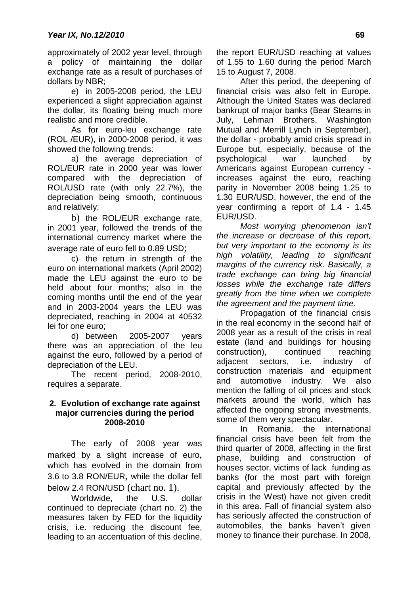approximately of 2002 year level, through a policy of maintaining the dollar exchange rate as a result of purchases of dollars by NBR;

e) in 2005-2008 period, the LEU experienced a slight appreciation against the dollar, its floating being much more realistic and more credible.

As for euro-leu exchange rate (ROL /EUR), in 2000-2008 period, it was showed the following trends:

a) the average depreciation of ROL/EUR rate in 2000 year was lower compared with the depreciation of ROL/USD rate (with only 22.7%), the depreciation being smooth, continuous and relatively;

b) the ROL/EUR exchange rate, in 2001 year, followed the trends of the international currency market where the average rate of euro fell to 0.89 USD;

c) the return in strength of the euro on international markets (April 2002) made the LEU against the euro to be held about four months; also in the coming months until the end of the year and in 2003-2004 years the LEU was depreciated, reaching in 2004 at 40532 lei for one euro;

d) between 2005-2007 years there was an appreciation of the leu against the euro, followed by a period of depreciation of the LEU.

The recent period, 2008-2010, requires a separate.

#### **2. Evolution of exchange rate against major currencies during the period 2008-2010**

The early of 2008 year was marked by a slight increase of euro, which has evolved in the domain from 3.6 to 3.8 RON/EUR, while the dollar fell below 2.4 RON/USD (chart no. 1).

Worldwide, the U.S. dollar continued to depreciate (chart no. 2) the measures taken by FED for the liquidity crisis, i.e. reducing the discount fee, leading to an accentuation of this decline, the report EUR/USD reaching at values of 1.55 to 1.60 during the period March 15 to August 7, 2008.

After this period, the deepening of financial crisis was also felt in Europe. Although the United States was declared bankrupt of major banks (Bear Stearns in July, Lehman Brothers, Washington Mutual and Merrill Lynch in September), the dollar - probably amid crisis spread in Europe but, especially, because of the psychological war launched by Americans against European currency increases against the euro, reaching parity in November 2008 being 1.25 to 1.30 EUR/USD, however, the end of the year confirming a report of 1.4 - 1.45 EUR/USD.

*Most worrying phenomenon isn't the increase or decrease of this report, but very important to the economy is its high volatility, leading to significant margins of the currency risk. Basically, a trade exchange can bring big financial losses while the exchange rate differs greatly from the time when we complete the agreement and the payment time*.

Propagation of the financial crisis in the real economy in the second half of 2008 year as a result of the crisis in real estate (land and buildings for housing construction), continued reaching adjacent sectors, i.e. industry of construction materials and equipment and automotive industry. We also mention the falling of oil prices and stock markets around the world, which has affected the ongoing strong investments, some of them very spectacular.

In Romania, the international financial crisis have been felt from the third quarter of 2008, affecting in the first phase, building and construction of houses sector, victims of lack funding as banks (for the most part with foreign capital and previously affected by the crisis in the West) have not given credit in this area. Fall of financial system also has seriously affected the construction of automobiles, the banks haven't given money to finance their purchase. In 2008,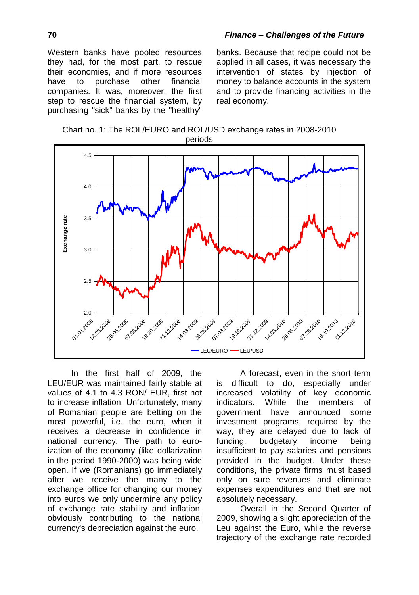Western banks have pooled resources they had, for the most part, to rescue their economies, and if more resources have to purchase other financial companies. It was, moreover, the first step to rescue the financial system, by purchasing "sick" banks by the "healthy"

banks. Because that recipe could not be applied in all cases, it was necessary the intervention of states by injection of money to balance accounts in the system and to provide financing activities in the real economy.





In the first half of 2009, the LEU/EUR was maintained fairly stable at values of 4.1 to 4.3 RON/ EUR, first not to increase inflation. Unfortunately, many of Romanian people are betting on the most powerful, i.e. the euro, when it receives a decrease in confidence in national currency. The path to euroization of the economy (like dollarization in the period 1990-2000) was being wide open. If we (Romanians) go immediately after we receive the many to the exchange office for changing our money into euros we only undermine any policy of exchange rate stability and inflation, obviously contributing to the national currency's depreciation against the euro.

A forecast, even in the short term is difficult to do, especially under increased volatility of key economic indicators. While the members of government have announced some investment programs, required by the way, they are delayed due to lack of funding, budgetary income being insufficient to pay salaries and pensions provided in the budget. Under these conditions, the private firms must based only on sure revenues and eliminate expenses expenditures and that are not absolutely necessary.

Overall in the Second Quarter of 2009, showing a slight appreciation of the Leu against the Euro, while the reverse trajectory of the exchange rate recorded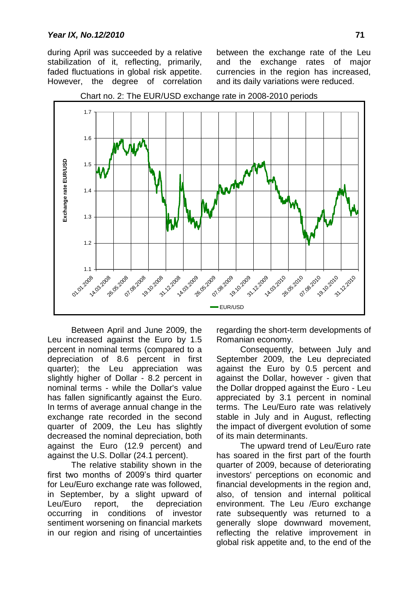during April was succeeded by a relative stabilization of it, reflecting, primarily, faded fluctuations in global risk appetite. However, the degree of correlation between the exchange rate of the Leu and the exchange rates of major currencies in the region has increased, and its daily variations were reduced.



Chart no. 2: The EUR/USD exchange rate in 2008-2010 periods

Between April and June 2009, the Leu increased against the Euro by 1.5 percent in nominal terms (compared to a depreciation of 8.6 percent in first quarter); the Leu appreciation was slightly higher of Dollar - 8.2 percent in nominal terms - while the Dollar's value has fallen significantly against the Euro. In terms of average annual change in the exchange rate recorded in the second quarter of 2009, the Leu has slightly decreased the nominal depreciation, both against the Euro (12.9 percent) and against the U.S. Dollar (24.1 percent).

The relative stability shown in the first two months of 2009's third quarter for Leu/Euro exchange rate was followed, in September, by a slight upward of Leu/Euro report, the depreciation occurring in conditions of investor sentiment worsening on financial markets in our region and rising of uncertainties regarding the short-term developments of Romanian economy.

Consequently, between July and September 2009, the Leu depreciated against the Euro by 0.5 percent and against the Dollar, however - given that the Dollar dropped against the Euro - Leu appreciated by 3.1 percent in nominal terms. The Leu/Euro rate was relatively stable in July and in August, reflecting the impact of divergent evolution of some of its main determinants.

The upward trend of Leu/Euro rate has soared in the first part of the fourth quarter of 2009, because of deteriorating investors' perceptions on economic and financial developments in the region and, also, of tension and internal political environment. The Leu /Euro exchange rate subsequently was returned to a generally slope downward movement, reflecting the relative improvement in global risk appetite and, to the end of the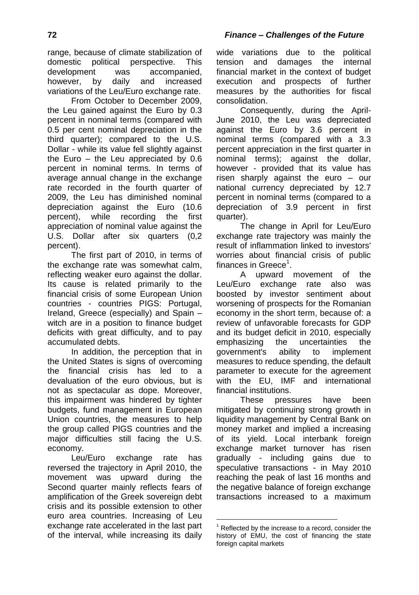range, because of climate stabilization of domestic political perspective. This development was accompanied, however, by daily and increased variations of the Leu/Euro exchange rate.

From October to December 2009, the Leu gained against the Euro by 0.3 percent in nominal terms (compared with 0.5 per cent nominal depreciation in the third quarter); compared to the U.S. Dollar - while its value fell slightly against the Euro – the Leu appreciated by 0.6 percent in nominal terms. In terms of average annual change in the exchange rate recorded in the fourth quarter of 2009, the Leu has diminished nominal depreciation against the Euro (10.6 percent), while recording the first appreciation of nominal value against the U.S. Dollar after six quarters (0,2 percent).

The first part of 2010, in terms of the exchange rate was somewhat calm, reflecting weaker euro against the dollar. Its cause is related primarily to the financial crisis of some European Union countries - countries PIGS: Portugal, Ireland, Greece (especially) and Spain – witch are in a position to finance budget deficits with great difficulty, and to pay accumulated debts.

In addition, the perception that in the United States is signs of overcoming the financial crisis has led to a devaluation of the euro obvious, but is not as spectacular as dope. Moreover, this impairment was hindered by tighter budgets, fund management in European Union countries, the measures to help the group called PIGS countries and the major difficulties still facing the U.S. economy.

Leu/Euro exchange rate has reversed the trajectory in April 2010, the movement was upward during the Second quarter mainly reflects fears of amplification of the Greek sovereign debt crisis and its possible extension to other euro area countries. Increasing of Leu exchange rate accelerated in the last part of the interval, while increasing its daily wide variations due to the political tension and damages the internal financial market in the context of budget execution and prospects of further measures by the authorities for fiscal consolidation.

Consequently, during the April-June 2010, the Leu was depreciated against the Euro by 3.6 percent in nominal terms (compared with a 3.3 percent appreciation in the first quarter in nominal terms); against the dollar, however - provided that its value has risen sharply against the euro – our national currency depreciated by 12.7 percent in nominal terms (compared to a depreciation of 3.9 percent in first quarter).

The change in April for Leu/Euro exchange rate trajectory was mainly the result of inflammation linked to investors' worries about financial crisis of public finances in Greece $^{\rm 1}.$ 

A upward movement of the Leu/Euro exchange rate also was boosted by investor sentiment about worsening of prospects for the Romanian economy in the short term, because of: a review of unfavorable forecasts for GDP and its budget deficit in 2010, especially emphasizing the uncertainties the government's ability to implement measures to reduce spending, the default parameter to execute for the agreement with the EU. IMF and international financial institutions.

These pressures have been mitigated by continuing strong growth in liquidity management by Central Bank on money market and implied a increasing of its yield. Local interbank foreign exchange market turnover has risen gradually - including gains due to speculative transactions - in May 2010 reaching the peak of last 16 months and the negative balance of foreign exchange transactions increased to a maximum

 $\overline{a}$ 

Reflected by the increase to a record, consider the history of EMU, the cost of financing the state foreign capital markets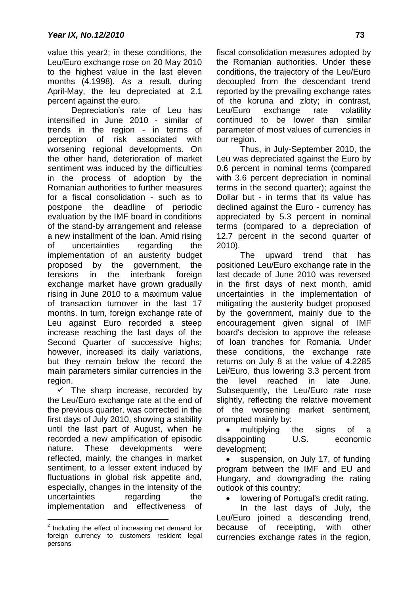value this year2; in these conditions, the Leu/Euro exchange rose on 20 May 2010 to the highest value in the last eleven months (4.1998). As a result, during April-May, the leu depreciated at 2.1 percent against the euro.

Depreciation's rate of Leu has intensified in June 2010 - similar of trends in the region - in terms of perception of risk associated with worsening regional developments. On the other hand, deterioration of market sentiment was induced by the difficulties in the process of adoption by the Romanian authorities to further measures for a fiscal consolidation - such as to postpone the deadline of periodic evaluation by the IMF board in conditions of the stand-by arrangement and release a new installment of the loan. Amid rising of uncertainties regarding the implementation of an austerity budget proposed by the government, the tensions in the interbank foreign exchange market have grown gradually rising in June 2010 to a maximum value of transaction turnover in the last 17 months. In turn, foreign exchange rate of Leu against Euro recorded a steep increase reaching the last days of the Second Quarter of successive highs; however, increased its daily variations, but they remain below the record the main parameters similar currencies in the region.

 $\checkmark$  The sharp increase, recorded by the Leu/Euro exchange rate at the end of the previous quarter, was corrected in the first days of July 2010, showing a stability until the last part of August, when he recorded a new amplification of episodic nature. These developments were reflected, mainly, the changes in market sentiment, to a lesser extent induced by fluctuations in global risk appetite and, especially, changes in the intensity of the uncertainties regarding the implementation and effectiveness of

 $\overline{a}$ 

fiscal consolidation measures adopted by the Romanian authorities. Under these conditions, the trajectory of the Leu/Euro decoupled from the descendant trend reported by the prevailing exchange rates of the koruna and zloty; in contrast, Leu/Euro exchange rate volatility continued to be lower than similar parameter of most values of currencies in our region.

Thus, in July-September 2010, the Leu was depreciated against the Euro by 0.6 percent in nominal terms (compared with 3.6 percent depreciation in nominal terms in the second quarter); against the Dollar but - in terms that its value has declined against the Euro - currency has appreciated by 5.3 percent in nominal terms (compared to a depreciation of 12.7 percent in the second quarter of 2010).

The upward trend that has positioned Leu/Euro exchange rate in the last decade of June 2010 was reversed in the first days of next month, amid uncertainties in the implementation of mitigating the austerity budget proposed by the government, mainly due to the encouragement given signal of IMF board's decision to approve the release of loan tranches for Romania. Under these conditions, the exchange rate returns on July 8 at the value of 4.2285 Lei/Euro, thus lowering 3.3 percent from the level reached in late June. Subsequently, the Leu/Euro rate rose slightly, reflecting the relative movement of the worsening market sentiment, prompted mainly by:

 multiplying the signs of a disappointing U.S. economic development;

• suspension, on July 17, of funding program between the IMF and EU and Hungary, and downgrading the rating outlook of this country;

lowering of Portugal's credit rating.

In the last days of July, the Leu/Euro joined a descending trend, because of receipting, with other currencies exchange rates in the region,

<sup>2</sup> Including the effect of increasing net demand for foreign currency to customers resident legal persons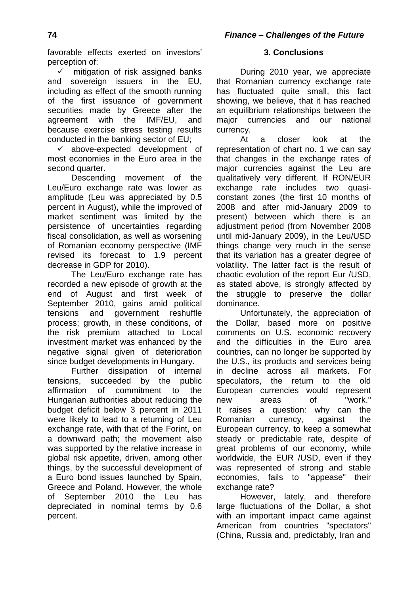favorable effects exerted on investors' perception of:

 $\checkmark$  mitigation of risk assigned banks and sovereign issuers in the EU, including as effect of the smooth running of the first issuance of government securities made by Greece after the agreement with the IMF/EU, and because exercise stress testing results conducted in the banking sector of EU;

 above-expected development of most economies in the Euro area in the second quarter.

Descending movement of the Leu/Euro exchange rate was lower as amplitude (Leu was appreciated by 0.5 percent in August), while the improved of market sentiment was limited by the persistence of uncertainties regarding fiscal consolidation, as well as worsening of Romanian economy perspective (IMF revised its forecast to 1.9 percent decrease in GDP for 2010).

The Leu/Euro exchange rate has recorded a new episode of growth at the end of August and first week of September 2010, gains amid political tensions and government reshuffle process; growth, in these conditions, of the risk premium attached to Local investment market was enhanced by the negative signal given of deterioration since budget developments in Hungary.

Further dissipation of internal tensions, succeeded by the public affirmation of commitment to the Hungarian authorities about reducing the budget deficit below 3 percent in 2011 were likely to lead to a returning of Leu exchange rate, with that of the Forint, on a downward path; the movement also was supported by the relative increase in global risk appetite, driven, among other things, by the successful development of a Euro bond issues launched by Spain, Greece and Poland. However, the whole of September 2010 the Leu has depreciated in nominal terms by 0.6 percent.

## **3. Conclusions**

During 2010 year, we appreciate that Romanian currency exchange rate has fluctuated quite small, this fact showing, we believe, that it has reached an equilibrium relationships between the major currencies and our national currency.

At a closer look at the representation of chart no. 1 we can say that changes in the exchange rates of major currencies against the Leu are qualitatively very different. If RON/EUR exchange rate includes two quasiconstant zones (the first 10 months of 2008 and after mid-January 2009 to present) between which there is an adjustment period (from November 2008 until mid-January 2009), in the Leu/USD things change very much in the sense that its variation has a greater degree of volatility. The latter fact is the result of chaotic evolution of the report Eur /USD, as stated above, is strongly affected by the struggle to preserve the dollar dominance.

Unfortunately, the appreciation of the Dollar, based more on positive comments on U.S. economic recovery and the difficulties in the Euro area countries, can no longer be supported by the U.S., its products and services being in decline across all markets. For speculators, the return to the old European currencies would represent new areas of "work." It raises a question: why can the Romanian currency, against the European currency, to keep a somewhat steady or predictable rate, despite of great problems of our economy, while worldwide, the EUR /USD, even if they was represented of strong and stable economies, fails to "appease" their exchange rate?

However, lately, and therefore large fluctuations of the Dollar, a shot with an important impact came against American from countries "spectators" (China, Russia and, predictably, Iran and